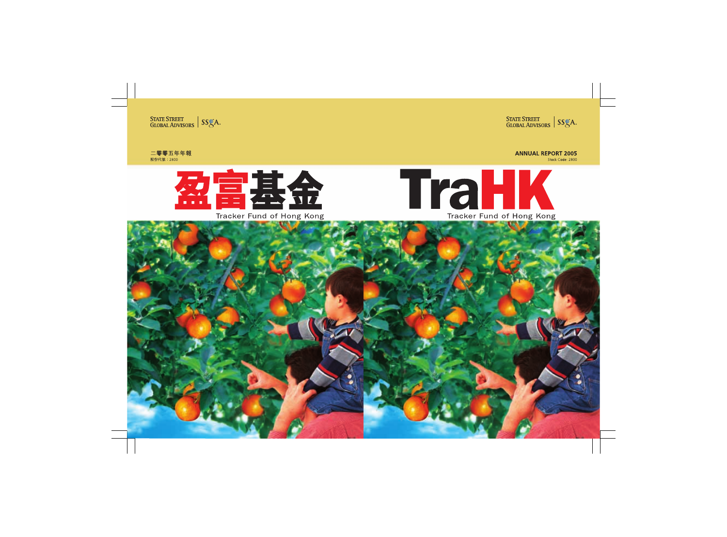

**ANNUAL REPORT 2005** 

Stock Code: 2800

# TraHK Tracker Fund of Hong Kong

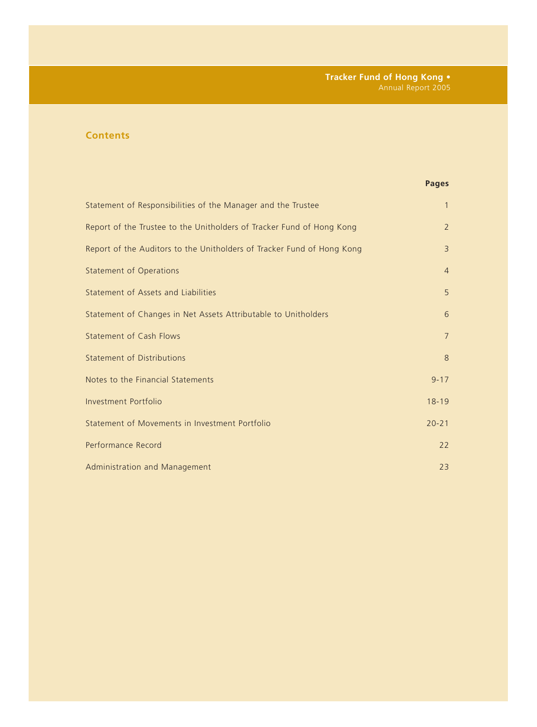# **Contents**

# **Pages**

| Statement of Responsibilities of the Manager and the Trustee           | $\mathbf{1}$   |
|------------------------------------------------------------------------|----------------|
| Report of the Trustee to the Unitholders of Tracker Fund of Hong Kong  | $\overline{2}$ |
| Report of the Auditors to the Unitholders of Tracker Fund of Hong Kong | $\overline{3}$ |
| <b>Statement of Operations</b>                                         | $\overline{4}$ |
| Statement of Assets and Liabilities                                    | 5              |
| Statement of Changes in Net Assets Attributable to Unitholders         | 6              |
| <b>Statement of Cash Flows</b>                                         | $\overline{7}$ |
| <b>Statement of Distributions</b>                                      | 8              |
| Notes to the Financial Statements                                      | $9 - 17$       |
| Investment Portfolio                                                   | $18 - 19$      |
| Statement of Movements in Investment Portfolio                         | $20 - 21$      |
| Performance Record                                                     | 22             |
| Administration and Management                                          | 23             |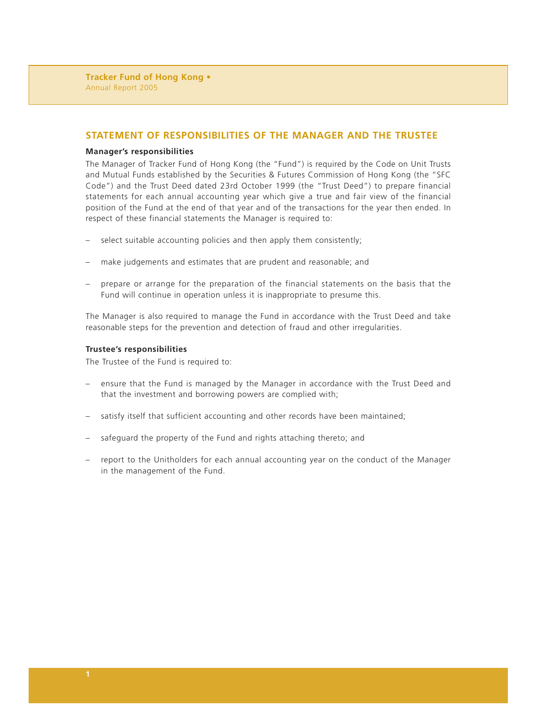# **STATEMENT OF RESPONSIBILITIES OF THE MANAGER AND THE TRUSTEE**

#### **Manager's responsibilities**

The Manager of Tracker Fund of Hong Kong (the "Fund") is required by the Code on Unit Trusts and Mutual Funds established by the Securities & Futures Commission of Hong Kong (the "SFC Code") and the Trust Deed dated 23rd October 1999 (the "Trust Deed") to prepare financial statements for each annual accounting year which give a true and fair view of the financial position of the Fund at the end of that year and of the transactions for the year then ended. In respect of these financial statements the Manager is required to:

- select suitable accounting policies and then apply them consistently;
- make judgements and estimates that are prudent and reasonable; and
- prepare or arrange for the preparation of the financial statements on the basis that the Fund will continue in operation unless it is inappropriate to presume this.

The Manager is also required to manage the Fund in accordance with the Trust Deed and take reasonable steps for the prevention and detection of fraud and other irregularities.

#### **Trustee's responsibilities**

The Trustee of the Fund is required to:

- ensure that the Fund is managed by the Manager in accordance with the Trust Deed and that the investment and borrowing powers are complied with;
- satisfy itself that sufficient accounting and other records have been maintained;
- safeguard the property of the Fund and rights attaching thereto; and
- report to the Unitholders for each annual accounting year on the conduct of the Manager in the management of the Fund.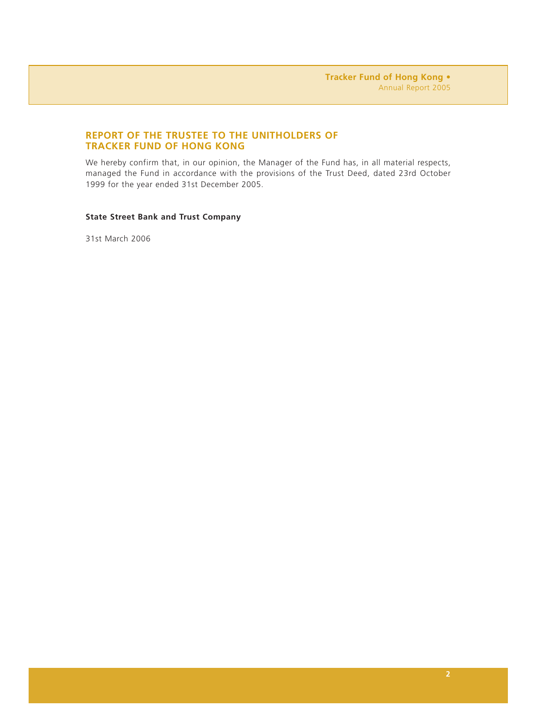# **REPORT OF THE TRUSTEE TO THE UNITHOLDERS OF TRACKER FUND OF HONG KONG**

We hereby confirm that, in our opinion, the Manager of the Fund has, in all material respects, managed the Fund in accordance with the provisions of the Trust Deed, dated 23rd October 1999 for the year ended 31st December 2005.

## **State Street Bank and Trust Company**

31st March 2006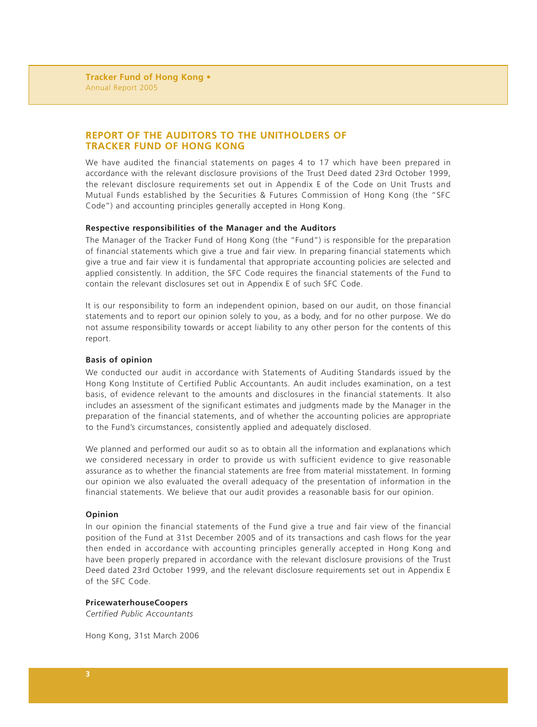# **REPORT OF THE AUDITORS TO THE UNITHOLDERS OF TRACKER FUND OF HONG KONG**

We have audited the financial statements on pages 4 to 17 which have been prepared in accordance with the relevant disclosure provisions of the Trust Deed dated 23rd October 1999, the relevant disclosure requirements set out in Appendix E of the Code on Unit Trusts and Mutual Funds established by the Securities & Futures Commission of Hong Kong (the "SFC Code") and accounting principles generally accepted in Hong Kong.

### **Respective responsibilities of the Manager and the Auditors**

The Manager of the Tracker Fund of Hong Kong (the "Fund") is responsible for the preparation of financial statements which give a true and fair view. In preparing financial statements which give a true and fair view it is fundamental that appropriate accounting policies are selected and applied consistently. In addition, the SFC Code requires the financial statements of the Fund to contain the relevant disclosures set out in Appendix E of such SFC Code.

It is our responsibility to form an independent opinion, based on our audit, on those financial statements and to report our opinion solely to you, as a body, and for no other purpose. We do not assume responsibility towards or accept liability to any other person for the contents of this report.

#### **Basis of opinion**

We conducted our audit in accordance with Statements of Auditing Standards issued by the Hong Kong Institute of Certified Public Accountants. An audit includes examination, on a test basis, of evidence relevant to the amounts and disclosures in the financial statements. It also includes an assessment of the significant estimates and judgments made by the Manager in the preparation of the financial statements, and of whether the accounting policies are appropriate to the Fund's circumstances, consistently applied and adequately disclosed.

We planned and performed our audit so as to obtain all the information and explanations which we considered necessary in order to provide us with sufficient evidence to give reasonable assurance as to whether the financial statements are free from material misstatement. In forming our opinion we also evaluated the overall adequacy of the presentation of information in the financial statements. We believe that our audit provides a reasonable basis for our opinion.

### **Opinion**

In our opinion the financial statements of the Fund give a true and fair view of the financial position of the Fund at 31st December 2005 and of its transactions and cash flows for the year then ended in accordance with accounting principles generally accepted in Hong Kong and have been properly prepared in accordance with the relevant disclosure provisions of the Trust Deed dated 23rd October 1999, and the relevant disclosure requirements set out in Appendix E of the SFC Code.

#### **PricewaterhouseCoopers**

*Certified Public Accountants*

Hong Kong, 31st March 2006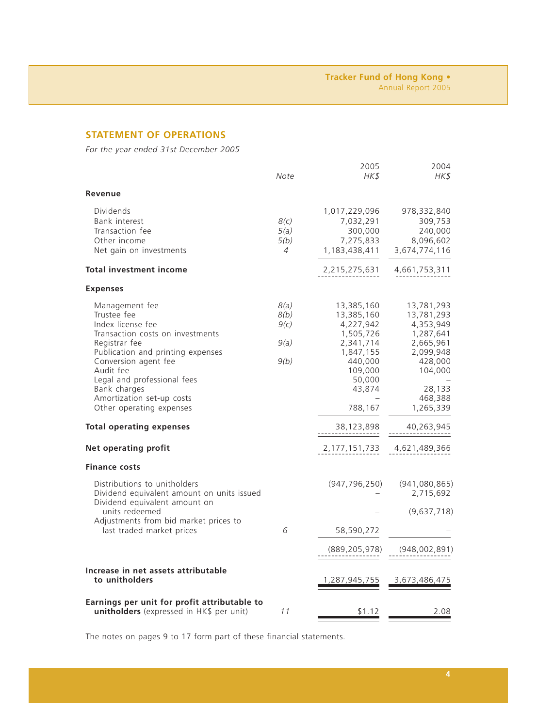# **STATEMENT OF OPERATIONS**

*For the year ended 31st December 2005*

|                                                                                                                                                                                                                                                                                                                                                                         | Note                                   | 2005<br>HK\$                                                                                                                                                     | 2004<br>HK\$                                                                                                                                                        |
|-------------------------------------------------------------------------------------------------------------------------------------------------------------------------------------------------------------------------------------------------------------------------------------------------------------------------------------------------------------------------|----------------------------------------|------------------------------------------------------------------------------------------------------------------------------------------------------------------|---------------------------------------------------------------------------------------------------------------------------------------------------------------------|
| Revenue                                                                                                                                                                                                                                                                                                                                                                 |                                        |                                                                                                                                                                  |                                                                                                                                                                     |
| <b>Dividends</b><br>Bank interest<br>Transaction fee<br>Other income<br>Net gain on investments<br>Total investment income                                                                                                                                                                                                                                              | 8(c)<br>5(a)<br>5(b)<br>$\overline{4}$ | 1,017,229,096<br>7,032,291<br>300,000<br>7,275,833<br>1,183,438,411<br>2,215,275,631                                                                             | 978,332,840<br>309,753<br>240,000<br>8,096,602<br>3,674,774,116<br>4,661,753,311                                                                                    |
|                                                                                                                                                                                                                                                                                                                                                                         |                                        |                                                                                                                                                                  |                                                                                                                                                                     |
| <b>Expenses</b><br>Management fee<br>Trustee fee<br>Index license fee<br>Transaction costs on investments<br>Registrar fee<br>Publication and printing expenses<br>Conversion agent fee<br>Audit fee<br>Legal and professional fees<br>Bank charges<br>Amortization set-up costs<br>Other operating expenses<br><b>Total operating expenses</b><br>Net operating profit | 8(a)<br>8(b)<br>9(c)<br>9(a)<br>9(b)   | 13,385,160<br>13,385,160<br>4,227,942<br>1,505,726<br>2,341,714<br>1,847,155<br>440,000<br>109,000<br>50,000<br>43,874<br>788,167<br>38,123,898<br>2,177,151,733 | 13,781,293<br>13,781,293<br>4,353,949<br>1,287,641<br>2,665,961<br>2,099,948<br>428,000<br>104,000<br>28,133<br>468,388<br>1,265,339<br>40,263,945<br>4,621,489,366 |
| <b>Finance costs</b>                                                                                                                                                                                                                                                                                                                                                    |                                        |                                                                                                                                                                  |                                                                                                                                                                     |
| Distributions to unitholders<br>Dividend equivalent amount on units issued<br>Dividend equivalent amount on<br>units redeemed<br>Adjustments from bid market prices to<br>last traded market prices                                                                                                                                                                     | 6                                      | (947, 796, 250)<br>58,590,272<br>(889,205,978)                                                                                                                   | (941,080,865)<br>2,715,692<br>(9,637,718)<br>(948,002,891)                                                                                                          |
|                                                                                                                                                                                                                                                                                                                                                                         |                                        |                                                                                                                                                                  |                                                                                                                                                                     |
| Increase in net assets attributable<br>to unitholders                                                                                                                                                                                                                                                                                                                   |                                        | 1,287,945,755                                                                                                                                                    | 3,673,486,475                                                                                                                                                       |
| Earnings per unit for profit attributable to<br>unitholders (expressed in HK\$ per unit)                                                                                                                                                                                                                                                                                | 11                                     | \$1.12                                                                                                                                                           | 2.08                                                                                                                                                                |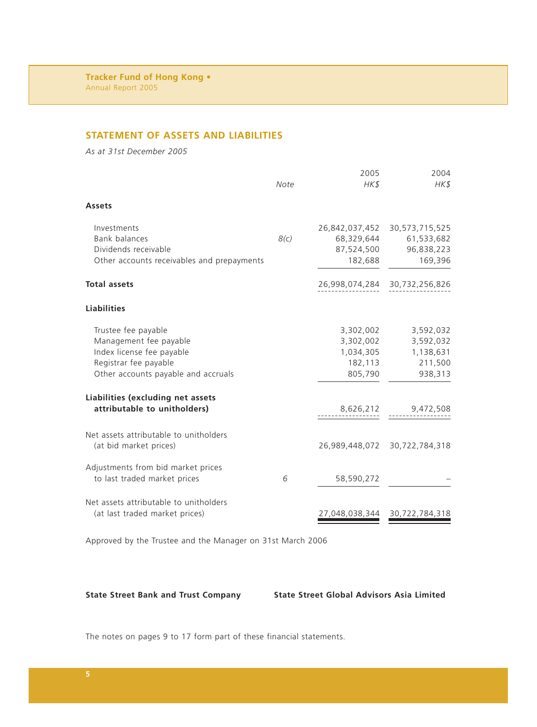# **STATEMENT OF ASSETS AND LIABILITIES**

*As at 31st December 2005*

|                                                                                                                                            | Note | 2005<br>$H K$ \$                                          | 2004<br>HK\$                                              |
|--------------------------------------------------------------------------------------------------------------------------------------------|------|-----------------------------------------------------------|-----------------------------------------------------------|
| <b>Assets</b>                                                                                                                              |      |                                                           |                                                           |
| Investments<br><b>Bank balances</b><br>Dividends receivable<br>Other accounts receivables and prepayments                                  | 8(c) | 26,842,037,452<br>68,329,644<br>87,524,500<br>182,688     | 30,573,715,525<br>61,533,682<br>96,838,223<br>169,396     |
| <b>Total assets</b>                                                                                                                        |      | 26,998,074,284                                            | 30,732,256,826                                            |
| <b>Liabilities</b>                                                                                                                         |      |                                                           |                                                           |
| Trustee fee payable<br>Management fee payable<br>Index license fee payable<br>Registrar fee payable<br>Other accounts payable and accruals |      | 3,302,002<br>3,302,002<br>1,034,305<br>182,113<br>805,790 | 3,592,032<br>3,592,032<br>1,138,631<br>211,500<br>938,313 |
| Liabilities (excluding net assets<br>attributable to unitholders)                                                                          |      | 8,626,212                                                 | 9,472,508                                                 |
| Net assets attributable to unitholders<br>(at bid market prices)                                                                           |      | 26,989,448,072                                            | 30,722,784,318                                            |
| Adjustments from bid market prices<br>to last traded market prices                                                                         | 6    | 58,590,272                                                |                                                           |
| Net assets attributable to unitholders<br>(at last traded market prices)                                                                   |      | 27,048,038,344                                            | 30,722,784,318                                            |

Approved by the Trustee and the Manager on 31st March 2006

**State Street Bank and Trust Company State Street Global Advisors Asia Limited**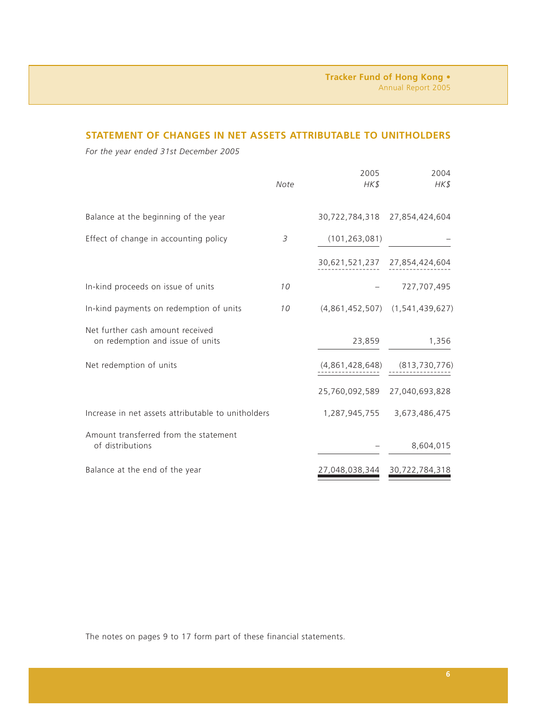# **STATEMENT OF CHANGES IN NET ASSETS ATTRIBUTABLE TO UNITHOLDERS**

*For the year ended 31st December 2005*

|                                                                      | Note | 2005<br>HK\$    | 2004<br>HK\$                        |
|----------------------------------------------------------------------|------|-----------------|-------------------------------------|
| Balance at the beginning of the year                                 |      | 30,722,784,318  | 27,854,424,604                      |
| Effect of change in accounting policy                                | 3    | (101, 263, 081) |                                     |
|                                                                      |      | 30,621,521,237  | 27,854,424,604                      |
| In-kind proceeds on issue of units                                   | 10   |                 | 727,707,495                         |
| In-kind payments on redemption of units                              | 10   |                 | $(4,861,452,507)$ $(1,541,439,627)$ |
| Net further cash amount received<br>on redemption and issue of units |      | 23,859          | 1,356                               |
| Net redemption of units                                              |      | (4,861,428,648) | (813, 730, 776)                     |
|                                                                      |      | 25,760,092,589  | 27,040,693,828                      |
| Increase in net assets attributable to unitholders                   |      |                 | 1,287,945,755 3,673,486,475         |
| Amount transferred from the statement<br>of distributions            |      |                 | 8,604,015                           |
| Balance at the end of the year                                       |      | 27,048,038,344  | 30,722,784,318                      |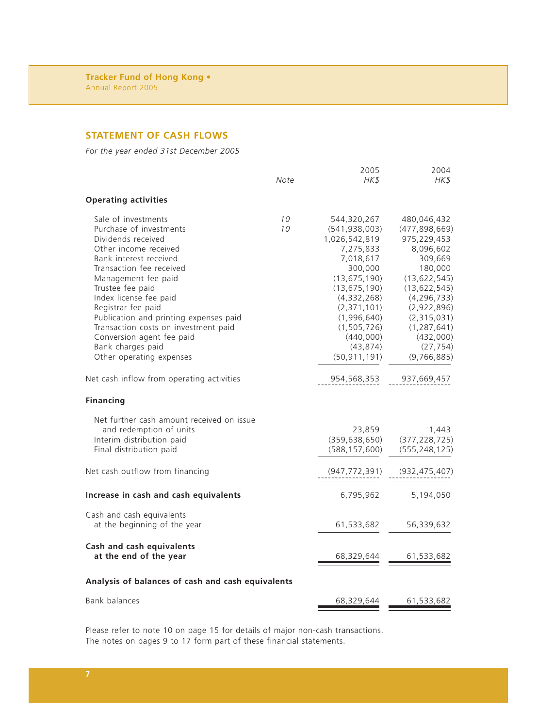# **STATEMENT OF CASH FLOWS**

*For the year ended 31st December 2005*

|                                                                                                                                                                                                                                                                                                                                                                                                                | Note     | 2005<br>HK\$                                                                                                                                                                                                                       | 2004<br>HK\$                                                                                                                                                                                                                    |
|----------------------------------------------------------------------------------------------------------------------------------------------------------------------------------------------------------------------------------------------------------------------------------------------------------------------------------------------------------------------------------------------------------------|----------|------------------------------------------------------------------------------------------------------------------------------------------------------------------------------------------------------------------------------------|---------------------------------------------------------------------------------------------------------------------------------------------------------------------------------------------------------------------------------|
| <b>Operating activities</b>                                                                                                                                                                                                                                                                                                                                                                                    |          |                                                                                                                                                                                                                                    |                                                                                                                                                                                                                                 |
| Sale of investments<br>Purchase of investments<br>Dividends received<br>Other income received<br>Bank interest received<br>Transaction fee received<br>Management fee paid<br>Trustee fee paid<br>Index license fee paid<br>Registrar fee paid<br>Publication and printing expenses paid<br>Transaction costs on investment paid<br>Conversion agent fee paid<br>Bank charges paid<br>Other operating expenses | 10<br>10 | 544,320,267<br>(541, 938, 003)<br>1,026,542,819<br>7,275,833<br>7,018,617<br>300,000<br>(13, 675, 190)<br>(13, 675, 190)<br>(4,332,268)<br>(2,371,101)<br>(1,996,640)<br>(1, 505, 726)<br>(440,000)<br>(43, 874)<br>(50, 911, 191) | 480,046,432<br>(477, 898, 669)<br>975,229,453<br>8,096,602<br>309,669<br>180,000<br>(13, 622, 545)<br>(13, 622, 545)<br>(4, 296, 733)<br>(2,922,896)<br>(2,315,031)<br>(1, 287, 641)<br>(432,000)<br>(27, 754)<br>(9, 766, 885) |
| Net cash inflow from operating activities                                                                                                                                                                                                                                                                                                                                                                      |          | 954,568,353                                                                                                                                                                                                                        | 937,669,457                                                                                                                                                                                                                     |
| <b>Financing</b>                                                                                                                                                                                                                                                                                                                                                                                               |          |                                                                                                                                                                                                                                    |                                                                                                                                                                                                                                 |
| Net further cash amount received on issue<br>and redemption of units<br>Interim distribution paid<br>Final distribution paid                                                                                                                                                                                                                                                                                   |          | 23,859<br>(359, 638, 650)<br>(588, 157, 600)                                                                                                                                                                                       | 1,443<br>(377, 228, 725)<br>(555, 248, 125)                                                                                                                                                                                     |
| Net cash outflow from financing                                                                                                                                                                                                                                                                                                                                                                                |          | (947,772,391)                                                                                                                                                                                                                      | (932,475,407)                                                                                                                                                                                                                   |
| Increase in cash and cash equivalents                                                                                                                                                                                                                                                                                                                                                                          |          | 6,795,962                                                                                                                                                                                                                          | 5,194,050                                                                                                                                                                                                                       |
| Cash and cash equivalents<br>at the beginning of the year                                                                                                                                                                                                                                                                                                                                                      |          | 61,533,682                                                                                                                                                                                                                         | 56,339,632                                                                                                                                                                                                                      |
| Cash and cash equivalents<br>at the end of the year                                                                                                                                                                                                                                                                                                                                                            |          | 68,329,644                                                                                                                                                                                                                         | 61,533,682                                                                                                                                                                                                                      |
| Analysis of balances of cash and cash equivalents                                                                                                                                                                                                                                                                                                                                                              |          |                                                                                                                                                                                                                                    |                                                                                                                                                                                                                                 |
| Bank balances                                                                                                                                                                                                                                                                                                                                                                                                  |          | 68,329,644                                                                                                                                                                                                                         | 61,533,682                                                                                                                                                                                                                      |

Please refer to note 10 on page 15 for details of major non-cash transactions. The notes on pages 9 to 17 form part of these financial statements.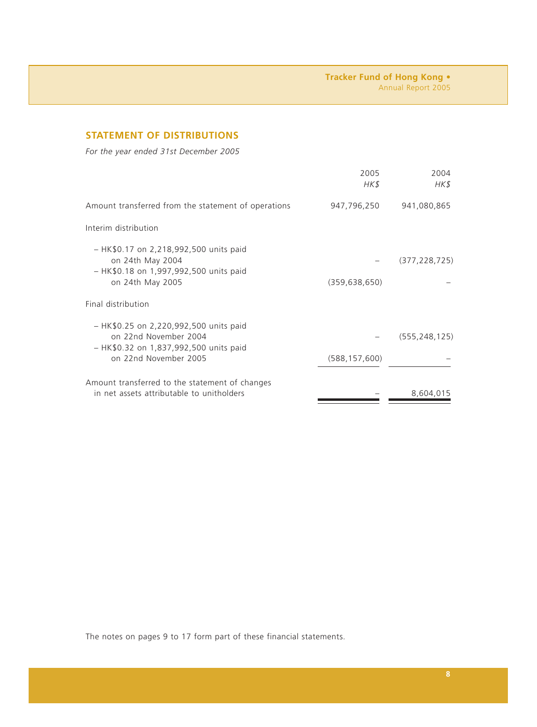# **STATEMENT OF DISTRIBUTIONS**

*For the year ended 31st December 2005*

|                                                                                                                                      | 2005<br>HK\$    | 2004<br>HK\$    |
|--------------------------------------------------------------------------------------------------------------------------------------|-----------------|-----------------|
| Amount transferred from the statement of operations                                                                                  | 947,796,250     | 941,080,865     |
| Interim distribution                                                                                                                 |                 |                 |
| $-$ HK\$0.17 on 2,218,992,500 units paid<br>on 24th May 2004<br>- HK\$0.18 on 1,997,992,500 units paid<br>on 24th May 2005           | (359, 638, 650) | (377, 228, 725) |
| Final distribution                                                                                                                   |                 |                 |
| $-$ HK\$0.25 on 2,220,992,500 units paid<br>on 22nd November 2004<br>- HK\$0.32 on 1,837,992,500 units paid<br>on 22nd November 2005 | (588, 157, 600) | (555, 248, 125) |
| Amount transferred to the statement of changes<br>in net assets attributable to unitholders                                          |                 | 8,604,015       |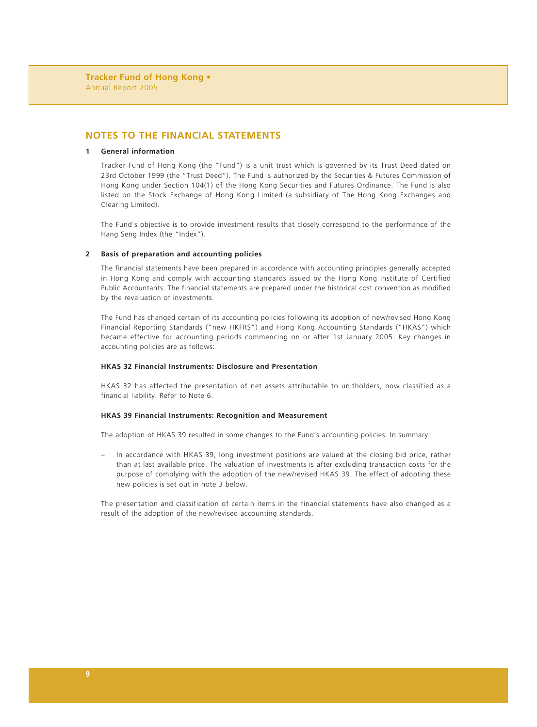# **NOTES TO THE FINANCIAL STATEMENTS**

#### **1 General information**

Tracker Fund of Hong Kong (the "Fund") is a unit trust which is governed by its Trust Deed dated on 23rd October 1999 (the "Trust Deed"). The Fund is authorized by the Securities & Futures Commission of Hong Kong under Section 104(1) of the Hong Kong Securities and Futures Ordinance. The Fund is also listed on the Stock Exchange of Hong Kong Limited (a subsidiary of The Hong Kong Exchanges and Clearing Limited).

The Fund's objective is to provide investment results that closely correspond to the performance of the Hang Seng Index (the "Index").

#### **2 Basis of preparation and accounting policies**

The financial statements have been prepared in accordance with accounting principles generally accepted in Hong Kong and comply with accounting standards issued by the Hong Kong Institute of Certified Public Accountants. The financial statements are prepared under the historical cost convention as modified by the revaluation of investments.

The Fund has changed certain of its accounting policies following its adoption of new/revised Hong Kong Financial Reporting Standards ("new HKFRS") and Hong Kong Accounting Standards ("HKAS") which became effective for accounting periods commencing on or after 1st January 2005. Key changes in accounting policies are as follows:

#### **HKAS 32 Financial Instruments: Disclosure and Presentation**

HKAS 32 has affected the presentation of net assets attributable to unitholders, now classified as a financial liability. Refer to Note 6.

#### **HKAS 39 Financial Instruments: Recognition and Measurement**

The adoption of HKAS 39 resulted in some changes to the Fund's accounting policies. In summary:

– In accordance with HKAS 39, long investment positions are valued at the closing bid price, rather than at last available price. The valuation of investments is after excluding transaction costs for the purpose of complying with the adoption of the new/revised HKAS 39. The effect of adopting these new policies is set out in note 3 below.

The presentation and classification of certain items in the financial statements have also changed as a result of the adoption of the new/revised accounting standards.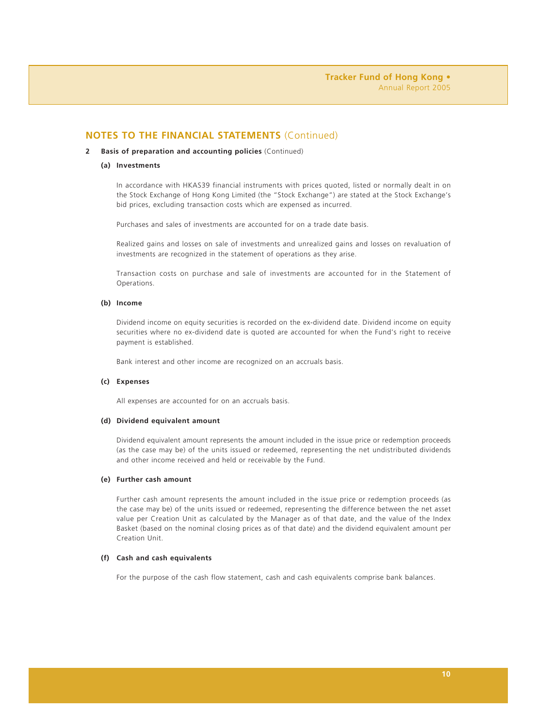#### **2 Basis of preparation and accounting policies** (Continued)

#### **(a) Investments**

In accordance with HKAS39 financial instruments with prices quoted, listed or normally dealt in on the Stock Exchange of Hong Kong Limited (the "Stock Exchange") are stated at the Stock Exchange's bid prices, excluding transaction costs which are expensed as incurred.

Purchases and sales of investments are accounted for on a trade date basis.

Realized gains and losses on sale of investments and unrealized gains and losses on revaluation of investments are recognized in the statement of operations as they arise.

Transaction costs on purchase and sale of investments are accounted for in the Statement of Operations.

#### **(b) Income**

Dividend income on equity securities is recorded on the ex-dividend date. Dividend income on equity securities where no ex-dividend date is quoted are accounted for when the Fund's right to receive payment is established.

Bank interest and other income are recognized on an accruals basis.

#### **(c) Expenses**

All expenses are accounted for on an accruals basis.

#### **(d) Dividend equivalent amount**

Dividend equivalent amount represents the amount included in the issue price or redemption proceeds (as the case may be) of the units issued or redeemed, representing the net undistributed dividends and other income received and held or receivable by the Fund.

#### **(e) Further cash amount**

Further cash amount represents the amount included in the issue price or redemption proceeds (as the case may be) of the units issued or redeemed, representing the difference between the net asset value per Creation Unit as calculated by the Manager as of that date, and the value of the Index Basket (based on the nominal closing prices as of that date) and the dividend equivalent amount per Creation Unit.

#### **(f) Cash and cash equivalents**

For the purpose of the cash flow statement, cash and cash equivalents comprise bank balances.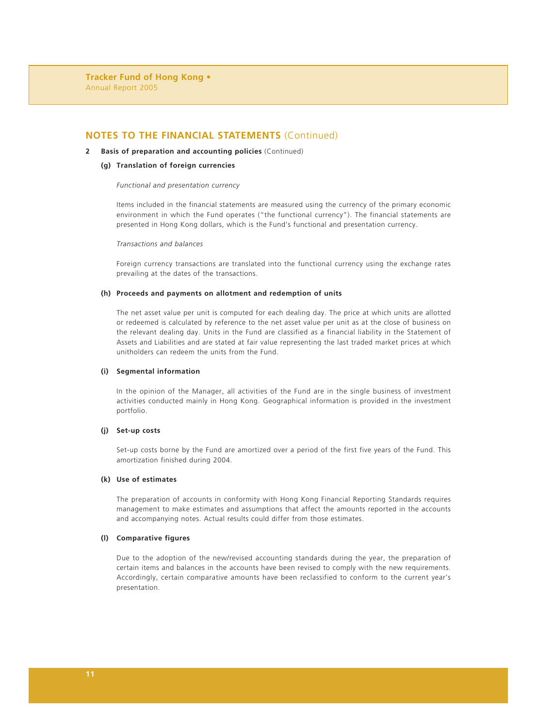#### **2 Basis of preparation and accounting policies** (Continued)

#### **(g) Translation of foreign currencies**

#### *Functional and presentation currency*

Items included in the financial statements are measured using the currency of the primary economic environment in which the Fund operates ("the functional currency"). The financial statements are presented in Hong Kong dollars, which is the Fund's functional and presentation currency.

#### *Transactions and balances*

Foreign currency transactions are translated into the functional currency using the exchange rates prevailing at the dates of the transactions.

#### **(h) Proceeds and payments on allotment and redemption of units**

The net asset value per unit is computed for each dealing day. The price at which units are allotted or redeemed is calculated by reference to the net asset value per unit as at the close of business on the relevant dealing day. Units in the Fund are classified as a financial liability in the Statement of Assets and Liabilities and are stated at fair value representing the last traded market prices at which unitholders can redeem the units from the Fund.

#### **(i) Segmental information**

In the opinion of the Manager, all activities of the Fund are in the single business of investment activities conducted mainly in Hong Kong. Geographical information is provided in the investment portfolio.

#### **(j) Set-up costs**

Set-up costs borne by the Fund are amortized over a period of the first five years of the Fund. This amortization finished during 2004.

#### **(k) Use of estimates**

The preparation of accounts in conformity with Hong Kong Financial Reporting Standards requires management to make estimates and assumptions that affect the amounts reported in the accounts and accompanying notes. Actual results could differ from those estimates.

#### **(l) Comparative figures**

Due to the adoption of the new/revised accounting standards during the year, the preparation of certain items and balances in the accounts have been revised to comply with the new requirements. Accordingly, certain comparative amounts have been reclassified to conform to the current year's presentation.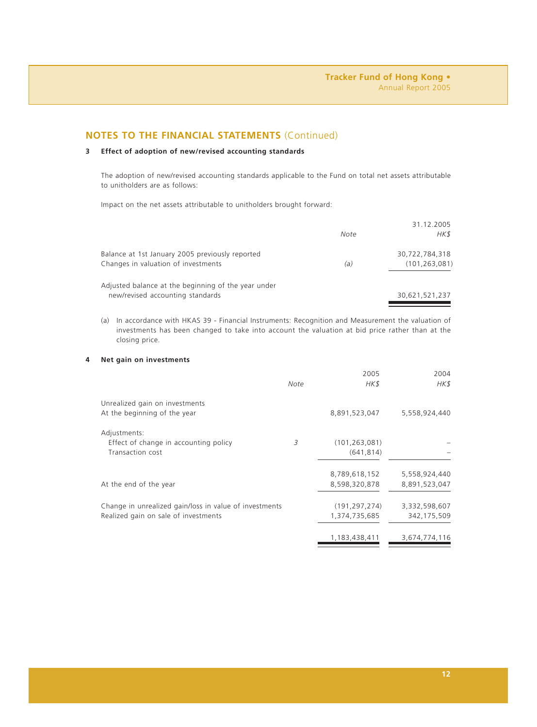### **3 Effect of adoption of new/revised accounting standards**

The adoption of new/revised accounting standards applicable to the Fund on total net assets attributable to unitholders are as follows:

Impact on the net assets attributable to unitholders brought forward:

|                                                     | Note | 31.12.2005<br>HK\$ |
|-----------------------------------------------------|------|--------------------|
| Balance at 1st January 2005 previously reported     |      | 30,722,784,318     |
| Changes in valuation of investments                 | (a)  | (101, 263, 081)    |
| Adjusted balance at the beginning of the year under |      |                    |
| new/revised accounting standards                    |      | 30,621,521,237     |

(a) In accordance with HKAS 39 - Financial Instruments: Recognition and Measurement the valuation of investments has been changed to take into account the valuation at bid price rather than at the closing price.

#### **4 Net gain on investments**

|                                                        |      | 2005            | 2004          |
|--------------------------------------------------------|------|-----------------|---------------|
|                                                        | Note | HK\$            | HK\$          |
| Unrealized gain on investments                         |      |                 |               |
| At the beginning of the year                           |      | 8,891,523,047   | 5,558,924,440 |
| Adjustments:                                           |      |                 |               |
| Effect of change in accounting policy                  | 3    | (101, 263, 081) |               |
| Transaction cost                                       |      | (641, 814)      |               |
|                                                        |      | 8,789,618,152   | 5,558,924,440 |
| At the end of the year                                 |      | 8,598,320,878   | 8,891,523,047 |
| Change in unrealized gain/loss in value of investments |      | (191, 297, 274) | 3,332,598,607 |
| Realized gain on sale of investments                   |      | 1,374,735,685   | 342,175,509   |
|                                                        |      | 1,183,438,411   | 3,674,774,116 |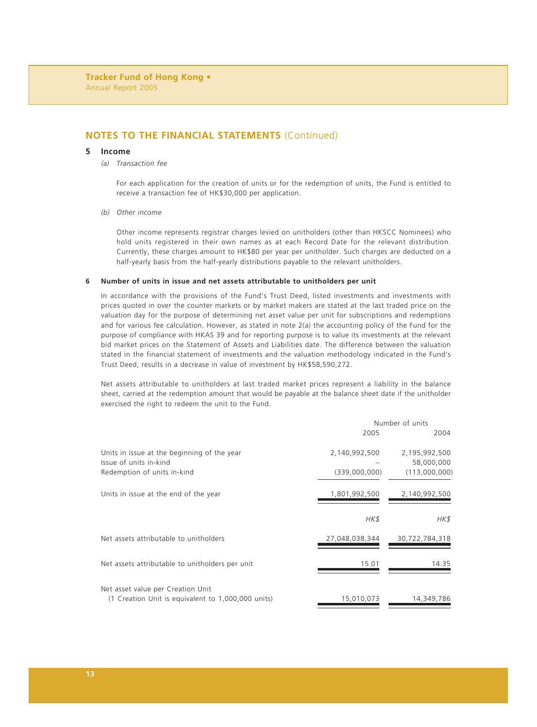#### **5 Income**

#### *(a) Transaction fee*

For each application for the creation of units or for the redemption of units, the Fund is entitled to receive a transaction fee of HK\$30,000 per application.

#### *(b) Other income*

Other income represents registrar charges levied on unitholders (other than HKSCC Nominees) who hold units registered in their own names as at each Record Date for the relevant distribution. Currently, these charges amount to HK\$80 per year per unitholder. Such charges are deducted on a half-yearly basis from the half-yearly distributions payable to the relevant unitholders.

#### **6 Number of units in issue and net assets attributable to unitholders per unit**

In accordance with the provisions of the Fund's Trust Deed, listed investments and investments with prices quoted in over the counter markets or by market makers are stated at the last traded price on the valuation day for the purpose of determining net asset value per unit for subscriptions and redemptions and for various fee calculation. However, as stated in note 2(a) the accounting policy of the Fund for the purpose of compliance with HKAS 39 and for reporting purpose is to value its investments at the relevant bid market prices on the Statement of Assets and Liabilities date. The difference between the valuation stated in the financial statement of investments and the valuation methodology indicated in the Fund's Trust Deed, results in a decrease in value of investment by HK\$58,590,272.

Net assets attributable to unitholders at last traded market prices represent a liability in the balance sheet, carried at the redemption amount that would be payable at the balance sheet date if the unitholder exercised the right to redeem the unit to the Fund.

|                                                                       | Number of units |                             |
|-----------------------------------------------------------------------|-----------------|-----------------------------|
|                                                                       | 2005            | 2004                        |
| Units in issue at the beginning of the year<br>Issue of units in-kind | 2,140,992,500   | 2,195,992,500<br>58,000,000 |
| Redemption of units in-kind                                           | (339,000,000)   | (113,000,000)               |
| Units in issue at the end of the year                                 | 1,801,992,500   | 2,140,992,500               |
|                                                                       | HK\$            | HK\$                        |
| Net assets attributable to unitholders                                | 27,048,038,344  | 30,722,784,318              |
| Net assets attributable to unitholders per unit                       | 15.01           | 14.35                       |
| Net asset value per Creation Unit                                     |                 |                             |
| (1 Creation Unit is equivalent to 1,000,000 units)                    | 15,010,073      | 14,349,786                  |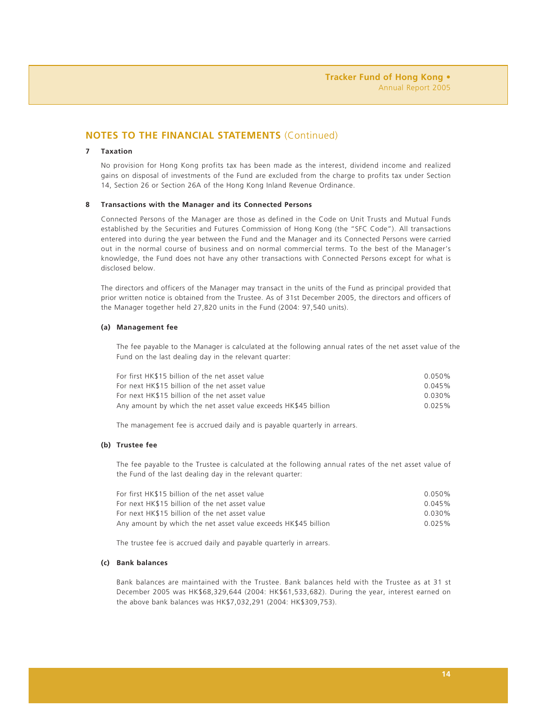## **7 Taxation**

No provision for Hong Kong profits tax has been made as the interest, dividend income and realized gains on disposal of investments of the Fund are excluded from the charge to profits tax under Section 14, Section 26 or Section 26A of the Hong Kong Inland Revenue Ordinance.

#### **8 Transactions with the Manager and its Connected Persons**

Connected Persons of the Manager are those as defined in the Code on Unit Trusts and Mutual Funds established by the Securities and Futures Commission of Hong Kong (the "SFC Code"). All transactions entered into during the year between the Fund and the Manager and its Connected Persons were carried out in the normal course of business and on normal commercial terms. To the best of the Manager's knowledge, the Fund does not have any other transactions with Connected Persons except for what is disclosed below.

The directors and officers of the Manager may transact in the units of the Fund as principal provided that prior written notice is obtained from the Trustee. As of 31st December 2005, the directors and officers of the Manager together held 27,820 units in the Fund (2004: 97,540 units).

#### **(a) Management fee**

The fee payable to the Manager is calculated at the following annual rates of the net asset value of the Fund on the last dealing day in the relevant quarter:

| For first HK\$15 billion of the net asset value                | $0.050\%$ |
|----------------------------------------------------------------|-----------|
| For next HK\$15 billion of the net asset value                 | 0.045%    |
| For next HK\$15 billion of the net asset value                 | $0.030\%$ |
| Any amount by which the net asset value exceeds HK\$45 billion | 0.025%    |

The management fee is accrued daily and is payable quarterly in arrears.

#### **(b) Trustee fee**

The fee payable to the Trustee is calculated at the following annual rates of the net asset value of the Fund of the last dealing day in the relevant quarter:

| For first HK\$15 billion of the net asset value                | 0.050%    |
|----------------------------------------------------------------|-----------|
| For next HK\$15 billion of the net asset value                 | 0.045%    |
| For next HK\$15 billion of the net asset value                 | $0.030\%$ |
| Any amount by which the net asset value exceeds HK\$45 billion | 0.025%    |

The trustee fee is accrued daily and payable quarterly in arrears.

#### **(c) Bank balances**

Bank balances are maintained with the Trustee. Bank balances held with the Trustee as at 31 st December 2005 was HK\$68,329,644 (2004: HK\$61,533,682). During the year, interest earned on the above bank balances was HK\$7,032,291 (2004: HK\$309,753).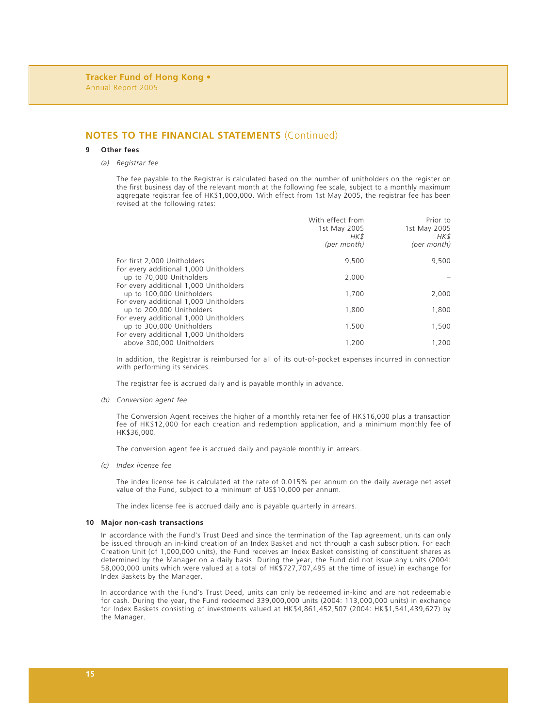#### **9 Other fees**

*(a) Registrar fee*

The fee payable to the Registrar is calculated based on the number of unitholders on the register on the first business day of the relevant month at the following fee scale, subject to a monthly maximum aggregate registrar fee of HK\$1,000,000. With effect from 1st May 2005, the registrar fee has been revised at the following rates:

|                                                                     | With effect from<br>1st May 2005<br>HK\$<br>(per month) | Prior to<br>1st May 2005<br>HK\$<br>(per month) |
|---------------------------------------------------------------------|---------------------------------------------------------|-------------------------------------------------|
| For first 2,000 Unitholders                                         | 9.500                                                   | 9,500                                           |
| For every additional 1,000 Unitholders<br>up to 70,000 Unitholders  | 2.000                                                   |                                                 |
| For every additional 1,000 Unitholders<br>up to 100,000 Unitholders | 1.700                                                   | 2,000                                           |
| For every additional 1,000 Unitholders<br>up to 200,000 Unitholders | 1,800                                                   | 1,800                                           |
| For every additional 1,000 Unitholders<br>up to 300,000 Unitholders | 1.500                                                   | 1,500                                           |
| For every additional 1,000 Unitholders<br>above 300,000 Unitholders | 1,200                                                   | 1.200                                           |

In addition, the Registrar is reimbursed for all of its out-of-pocket expenses incurred in connection with performing its services.

The registrar fee is accrued daily and is payable monthly in advance.

*(b) Conversion agent fee*

The Conversion Agent receives the higher of a monthly retainer fee of HK\$16,000 plus a transaction fee of HK\$12,000 for each creation and redemption application, and a minimum monthly fee of HK\$36,000.

The conversion agent fee is accrued daily and payable monthly in arrears.

*(c) Index license fee*

The index license fee is calculated at the rate of 0.015% per annum on the daily average net asset value of the Fund, subject to a minimum of US\$10,000 per annum.

The index license fee is accrued daily and is payable quarterly in arrears.

#### **10 Major non-cash transactions**

In accordance with the Fund's Trust Deed and since the termination of the Tap agreement, units can only be issued through an in-kind creation of an Index Basket and not through a cash subscription. For each Creation Unit (of 1,000,000 units), the Fund receives an Index Basket consisting of constituent shares as determined by the Manager on a daily basis. During the year, the Fund did not issue any units (2004: 58,000,000 units which were valued at a total of HK\$727,707,495 at the time of issue) in exchange for Index Baskets by the Manager.

In accordance with the Fund's Trust Deed, units can only be redeemed in-kind and are not redeemable for cash. During the year, the Fund redeemed 339,000,000 units (2004: 113,000,000 units) in exchange for Index Baskets consisting of investments valued at HK\$4,861,452,507 (2004: HK\$1,541,439,627) by the Manager.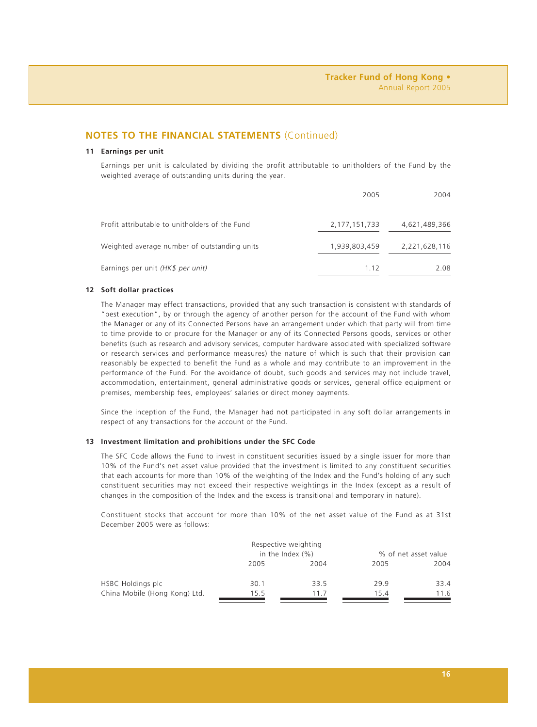#### **11 Earnings per unit**

Earnings per unit is calculated by dividing the profit attributable to unitholders of the Fund by the weighted average of outstanding units during the year.

|                                                | 2005             | 2004          |
|------------------------------------------------|------------------|---------------|
| Profit attributable to unitholders of the Fund | 2, 177, 151, 733 | 4,621,489,366 |
| Weighted average number of outstanding units   | 1,939,803,459    | 2,221,628,116 |
| Earnings per unit (HK\$ per unit)              | 1.12             | 2.08          |

#### **12 Soft dollar practices**

The Manager may effect transactions, provided that any such transaction is consistent with standards of "best execution", by or through the agency of another person for the account of the Fund with whom the Manager or any of its Connected Persons have an arrangement under which that party will from time to time provide to or procure for the Manager or any of its Connected Persons goods, services or other benefits (such as research and advisory services, computer hardware associated with specialized software or research services and performance measures) the nature of which is such that their provision can reasonably be expected to benefit the Fund as a whole and may contribute to an improvement in the performance of the Fund. For the avoidance of doubt, such goods and services may not include travel, accommodation, entertainment, general administrative goods or services, general office equipment or premises, membership fees, employees' salaries or direct money payments.

Since the inception of the Fund, the Manager had not participated in any soft dollar arrangements in respect of any transactions for the account of the Fund.

#### **13 Investment limitation and prohibitions under the SFC Code**

The SFC Code allows the Fund to invest in constituent securities issued by a single issuer for more than 10% of the Fund's net asset value provided that the investment is limited to any constituent securities that each accounts for more than 10% of the weighting of the Index and the Fund's holding of any such constituent securities may not exceed their respective weightings in the Index (except as a result of changes in the composition of the Index and the excess is transitional and temporary in nature).

Constituent stocks that account for more than 10% of the net asset value of the Fund as at 31st December 2005 were as follows:

|                               |                      | Respective weighting |                      |      |
|-------------------------------|----------------------|----------------------|----------------------|------|
|                               | in the Index $(\% )$ |                      | % of net asset value |      |
|                               | 2005                 | 2004                 | 2005                 | 2004 |
| HSBC Holdings plc             | 30.1                 | 33.5                 | 29.9                 | 33.4 |
| China Mobile (Hong Kong) Ltd. | 15.5                 | 117                  | 15.4                 | 11.6 |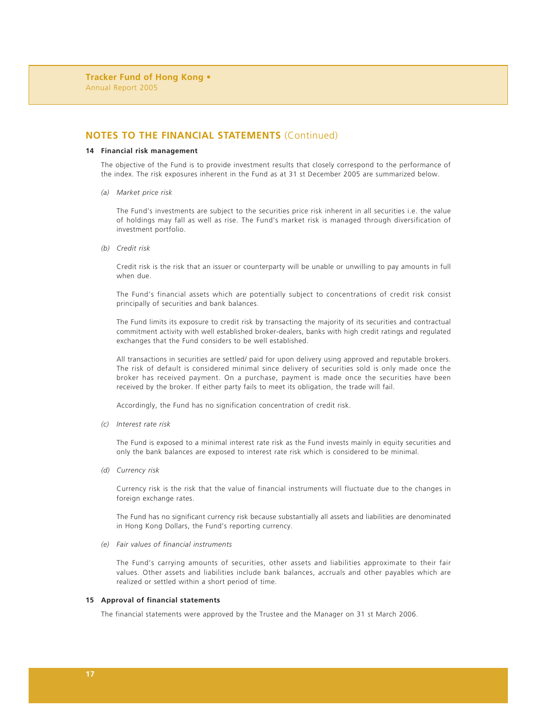#### **14 Financial risk management**

The objective of the Fund is to provide investment results that closely correspond to the performance of the index. The risk exposures inherent in the Fund as at 31 st December 2005 are summarized below.

*(a) Market price risk*

The Fund's investments are subject to the securities price risk inherent in all securities i.e. the value of holdings may fall as well as rise. The Fund's market risk is managed through diversification of investment portfolio.

*(b) Credit risk*

Credit risk is the risk that an issuer or counterparty will be unable or unwilling to pay amounts in full when due.

The Fund's financial assets which are potentially subject to concentrations of credit risk consist principally of securities and bank balances.

The Fund limits its exposure to credit risk by transacting the majority of its securities and contractual commitment activity with well established broker-dealers, banks with high credit ratings and regulated exchanges that the Fund considers to be well established.

All transactions in securities are settled/ paid for upon delivery using approved and reputable brokers. The risk of default is considered minimal since delivery of securities sold is only made once the broker has received payment. On a purchase, payment is made once the securities have been received by the broker. If either party fails to meet its obligation, the trade will fail.

Accordingly, the Fund has no signification concentration of credit risk.

*(c) Interest rate risk*

The Fund is exposed to a minimal interest rate risk as the Fund invests mainly in equity securities and only the bank balances are exposed to interest rate risk which is considered to be minimal.

*(d) Currency risk*

Currency risk is the risk that the value of financial instruments will fluctuate due to the changes in foreign exchange rates.

The Fund has no significant currency risk because substantially all assets and liabilities are denominated in Hong Kong Dollars, the Fund's reporting currency.

*(e) Fair values of financial instruments*

The Fund's carrying amounts of securities, other assets and liabilities approximate to their fair values. Other assets and liabilities include bank balances, accruals and other payables which are realized or settled within a short period of time.

#### **15 Approval of financial statements**

The financial statements were approved by the Trustee and the Manager on 31 st March 2006.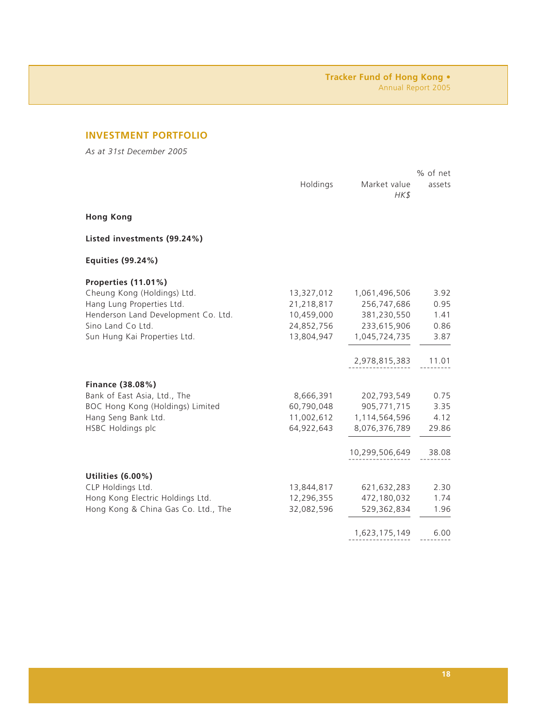# **INVESTMENT PORTFOLIO**

*As at 31st December 2005*

|                                     |            |                      | % of net |
|-------------------------------------|------------|----------------------|----------|
|                                     | Holdings   | Market value<br>HK\$ | assets   |
| <b>Hong Kong</b>                    |            |                      |          |
| Listed investments (99.24%)         |            |                      |          |
| Equities (99.24%)                   |            |                      |          |
| Properties (11.01%)                 |            |                      |          |
| Cheung Kong (Holdings) Ltd.         | 13,327,012 | 1,061,496,506        | 3.92     |
| Hang Lung Properties Ltd.           | 21,218,817 | 256,747,686          | 0.95     |
| Henderson Land Development Co. Ltd. | 10,459,000 | 381,230,550          | 1.41     |
| Sino Land Co Ltd.                   | 24,852,756 | 233,615,906          | 0.86     |
| Sun Hung Kai Properties Ltd.        | 13,804,947 | 1,045,724,735        | 3.87     |
|                                     |            | 2,978,815,383        | 11.01    |
| Finance (38.08%)                    |            |                      |          |
| Bank of East Asia, Ltd., The        | 8,666,391  | 202,793,549          | 0.75     |
| BOC Hong Kong (Holdings) Limited    | 60,790,048 | 905,771,715          | 3.35     |
| Hang Seng Bank Ltd.                 | 11,002,612 | 1,114,564,596        | 4.12     |
| HSBC Holdings plc                   | 64,922,643 | 8,076,376,789        | 29.86    |
|                                     |            | 10,299,506,649       | 38.08    |
| Utilities (6.00%)                   |            |                      |          |
| CLP Holdings Ltd.                   | 13,844,817 | 621,632,283          | 2.30     |
| Hong Kong Electric Holdings Ltd.    | 12,296,355 | 472,180,032          | 1.74     |
| Hong Kong & China Gas Co. Ltd., The | 32,082,596 | 529,362,834          | 1.96     |
|                                     |            | 1,623,175,149        | 6.00     |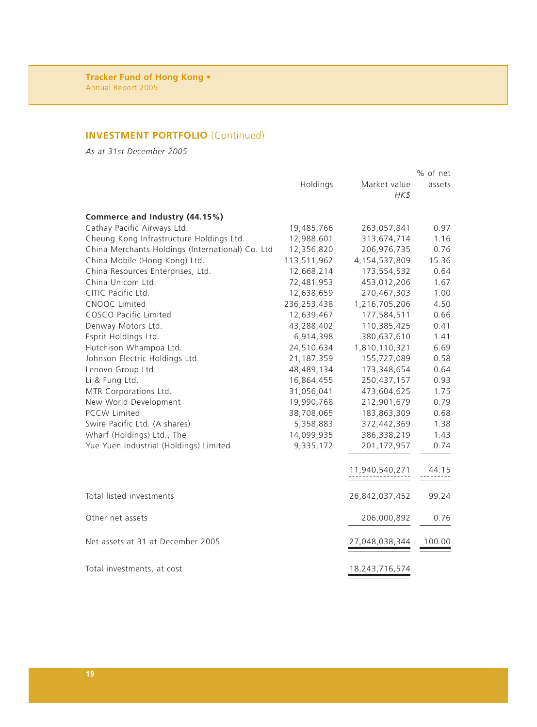# **INVESTMENT PORTFOLIO** (Continued)

*As at 31st December 2005*

|                                                  |             |                | % of net |
|--------------------------------------------------|-------------|----------------|----------|
|                                                  | Holdings    | Market value   | assets   |
|                                                  |             | HK\$           |          |
| Commerce and Industry (44.15%)                   |             |                |          |
| Cathay Pacific Airways Ltd.                      | 19,485,766  | 263,057,841    | 0.97     |
| Cheung Kong Infrastructure Holdings Ltd.         | 12,988,601  | 313,674,714    | 1.16     |
| China Merchants Holdings (International) Co. Ltd | 12,356,820  | 206,976,735    | 0.76     |
| China Mobile (Hong Kong) Ltd.                    | 113,511,962 | 4,154,537,809  | 15.36    |
| China Resources Enterprises, Ltd.                | 12,668,214  | 173,554,532    | 0.64     |
| China Unicom Ltd.                                | 72,481,953  | 453,012,206    | 1.67     |
| CITIC Pacific Ltd.                               | 12,638,659  | 270,467,303    | 1.00     |
| CNOOC Limited                                    | 236,253,438 | 1,216,705,206  | 4.50     |
| COSCO Pacific Limited                            | 12,639,467  | 177,584,511    | 0.66     |
| Denway Motors Ltd.                               | 43,288,402  | 110,385,425    | 0.41     |
| Esprit Holdings Ltd.                             | 6,914,398   | 380,637,610    | 1.41     |
| Hutchison Whampoa Ltd.                           | 24,510,634  | 1,810,110,321  | 6.69     |
| Johnson Electric Holdings Ltd.                   | 21,187,359  | 155,727,089    | 0.58     |
| Lenovo Group Ltd.                                | 48,489,134  | 173,348,654    | 0.64     |
| Li & Fung Ltd.                                   | 16,864,455  | 250,437,157    | 0.93     |
| MTR Corporations Ltd.                            | 31,056,041  | 473,604,625    | 1.75     |
| New World Development                            | 19,990,768  | 212,901,679    | 0.79     |
| <b>PCCW Limited</b>                              | 38,708,065  | 183,863,309    | 0.68     |
| Swire Pacific Ltd. (A shares)                    | 5,358,883   | 372,442,369    | 1.38     |
| Wharf (Holdings) Ltd., The                       | 14,099,935  | 386,338,219    | 1.43     |
| Yue Yuen Industrial (Holdings) Limited           | 9,335,172   | 201, 172, 957  | 0.74     |
|                                                  |             |                | 44.15    |
|                                                  |             | 11,940,540,271 |          |
| Total listed investments                         |             | 26,842,037,452 | 99.24    |
| Other net assets                                 |             | 206,000,892    | 0.76     |
| Net assets at 31 at December 2005                |             | 27,048,038,344 | 100.00   |
| Total investments, at cost                       |             | 18,243,716,574 |          |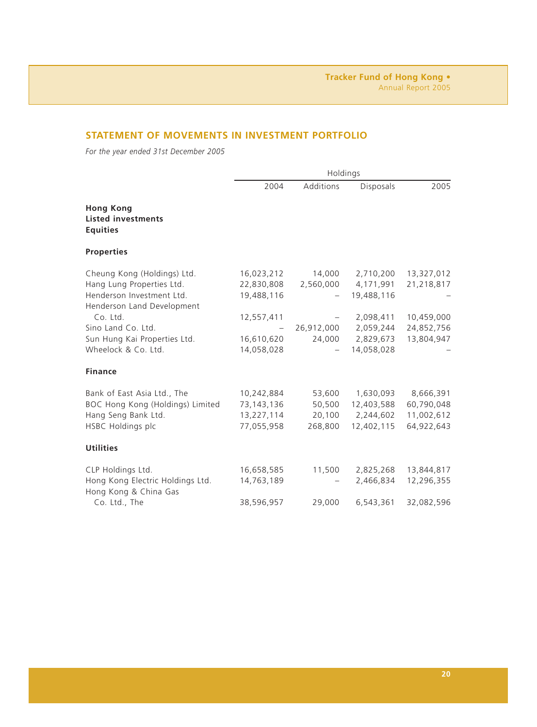# **STATEMENT OF MOVEMENTS IN INVESTMENT PORTFOLIO**

*For the year ended 31st December 2005*

|                                                                                                                                                                                                              | Holdings                                                                         |                                             |                                                                                           |                                                                    |
|--------------------------------------------------------------------------------------------------------------------------------------------------------------------------------------------------------------|----------------------------------------------------------------------------------|---------------------------------------------|-------------------------------------------------------------------------------------------|--------------------------------------------------------------------|
|                                                                                                                                                                                                              | 2004                                                                             | Additions                                   | Disposals                                                                                 | 2005                                                               |
| <b>Hong Kong</b><br><b>Listed investments</b><br><b>Equities</b>                                                                                                                                             |                                                                                  |                                             |                                                                                           |                                                                    |
| <b>Properties</b>                                                                                                                                                                                            |                                                                                  |                                             |                                                                                           |                                                                    |
| Cheung Kong (Holdings) Ltd.<br>Hang Lung Properties Ltd.<br>Henderson Investment Ltd.<br>Henderson Land Development<br>Co. Ltd.<br>Sino Land Co. Ltd.<br>Sun Hung Kai Properties Ltd.<br>Wheelock & Co. Ltd. | 16,023,212<br>22,830,808<br>19,488,116<br>12,557,411<br>16,610,620<br>14,058,028 | 14,000<br>2,560,000<br>26,912,000<br>24,000 | 2,710,200<br>4,171,991<br>19,488,116<br>2,098,411<br>2,059,244<br>2,829,673<br>14,058,028 | 13,327,012<br>21,218,817<br>10,459,000<br>24,852,756<br>13,804,947 |
| <b>Finance</b>                                                                                                                                                                                               |                                                                                  |                                             |                                                                                           |                                                                    |
| Bank of East Asia Ltd., The<br>BOC Hong Kong (Holdings) Limited<br>Hang Seng Bank Ltd.<br>HSBC Holdings plc                                                                                                  | 10,242,884<br>73,143,136<br>13,227,114<br>77,055,958                             | 53,600<br>50,500<br>20,100<br>268,800       | 1,630,093<br>12,403,588<br>2,244,602<br>12,402,115                                        | 8,666,391<br>60,790,048<br>11,002,612<br>64,922,643                |
| <b>Utilities</b>                                                                                                                                                                                             |                                                                                  |                                             |                                                                                           |                                                                    |
| CLP Holdings Ltd.<br>Hong Kong Electric Holdings Ltd.<br>Hong Kong & China Gas                                                                                                                               | 16,658,585<br>14,763,189                                                         | 11,500                                      | 2,825,268<br>2,466,834                                                                    | 13,844,817<br>12,296,355                                           |
| Co. Ltd., The                                                                                                                                                                                                | 38,596,957                                                                       | 29,000                                      | 6,543,361                                                                                 | 32,082,596                                                         |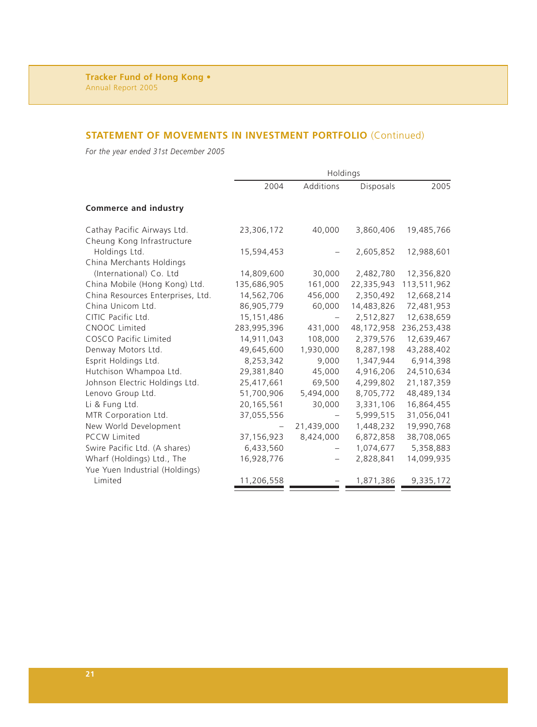# **STATEMENT OF MOVEMENTS IN INVESTMENT PORTFOLIO** (Continued)

*For the year ended 31st December 2005*

|                                   | Holdings    |            |            |             |
|-----------------------------------|-------------|------------|------------|-------------|
|                                   | 2004        | Additions  | Disposals  | 2005        |
| Commerce and industry             |             |            |            |             |
| Cathay Pacific Airways Ltd.       | 23,306,172  | 40,000     | 3,860,406  | 19,485,766  |
| Cheung Kong Infrastructure        |             |            |            |             |
| Holdings Ltd.                     | 15,594,453  |            | 2,605,852  | 12,988,601  |
| China Merchants Holdings          |             |            |            |             |
| (International) Co. Ltd           | 14,809,600  | 30,000     | 2,482,780  | 12,356,820  |
| China Mobile (Hong Kong) Ltd.     | 135,686,905 | 161,000    | 22,335,943 | 113,511,962 |
| China Resources Enterprises, Ltd. | 14,562,706  | 456,000    | 2,350,492  | 12,668,214  |
| China Unicom Ltd.                 | 86,905,779  | 60,000     | 14,483,826 | 72,481,953  |
| CITIC Pacific Ltd.                | 15,151,486  |            | 2,512,827  | 12,638,659  |
| CNOOC Limited                     | 283,995,396 | 431,000    | 48,172,958 | 236,253,438 |
| COSCO Pacific Limited             | 14,911,043  | 108,000    | 2,379,576  | 12,639,467  |
| Denway Motors Ltd.                | 49,645,600  | 1,930,000  | 8,287,198  | 43,288,402  |
| Esprit Holdings Ltd.              | 8,253,342   | 9,000      | 1,347,944  | 6,914,398   |
| Hutchison Whampoa Ltd.            | 29,381,840  | 45,000     | 4,916,206  | 24,510,634  |
| Johnson Electric Holdings Ltd.    | 25,417,661  | 69,500     | 4,299,802  | 21,187,359  |
| Lenovo Group Ltd.                 | 51,700,906  | 5,494,000  | 8,705,772  | 48,489,134  |
| Li & Fung Ltd.                    | 20,165,561  | 30,000     | 3,331,106  | 16,864,455  |
| MTR Corporation Ltd.              | 37,055,556  |            | 5,999,515  | 31,056,041  |
| New World Development             |             | 21,439,000 | 1,448,232  | 19,990,768  |
| <b>PCCW Limited</b>               | 37,156,923  | 8,424,000  | 6,872,858  | 38,708,065  |
| Swire Pacific Ltd. (A shares)     | 6,433,560   |            | 1,074,677  | 5,358,883   |
| Wharf (Holdings) Ltd., The        | 16,928,776  |            | 2,828,841  | 14,099,935  |
| Yue Yuen Industrial (Holdings)    |             |            |            |             |
| Limited                           | 11,206,558  |            | 1,871,386  | 9,335,172   |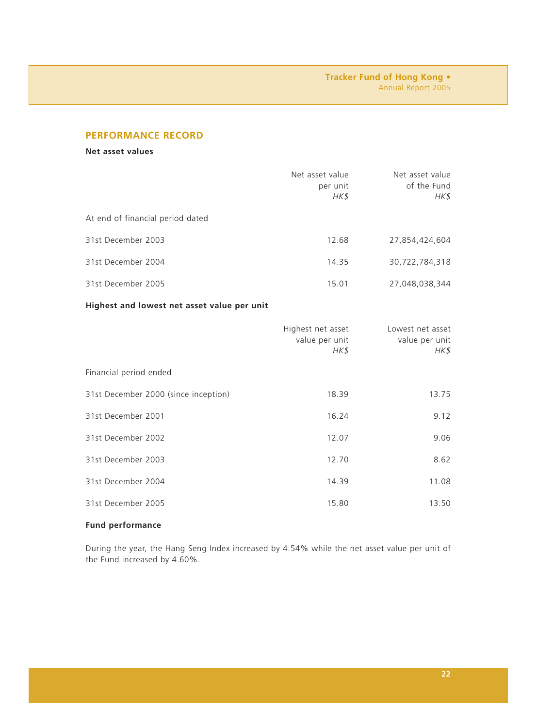# **PERFORMANCE RECORD**

**Net asset values**

|                                             | Net asset value<br>per unit<br>HK\$         | Net asset value<br>of the Fund<br>HK\$     |
|---------------------------------------------|---------------------------------------------|--------------------------------------------|
| At end of financial period dated            |                                             |                                            |
| 31st December 2003                          | 12.68                                       | 27,854,424,604                             |
| 31st December 2004                          | 14.35                                       | 30,722,784,318                             |
| 31st December 2005                          | 15.01                                       | 27,048,038,344                             |
| Highest and lowest net asset value per unit |                                             |                                            |
|                                             | Highest net asset<br>value per unit<br>HK\$ | Lowest net asset<br>value per unit<br>HK\$ |
| Financial period ended                      |                                             |                                            |
| 31st December 2000 (since inception)        | 18.39                                       | 13.75                                      |
| 31st December 2001                          | 16.24                                       | 9.12                                       |
| 31st December 2002                          | 12.07                                       | 9.06                                       |
| 31st December 2003                          | 12.70                                       | 8.62                                       |
| 31st December 2004                          | 14.39                                       | 11.08                                      |

## **Fund performance**

During the year, the Hang Seng Index increased by 4.54% while the net asset value per unit of the Fund increased by 4.60%.

31st December 2005 15.80 13.50